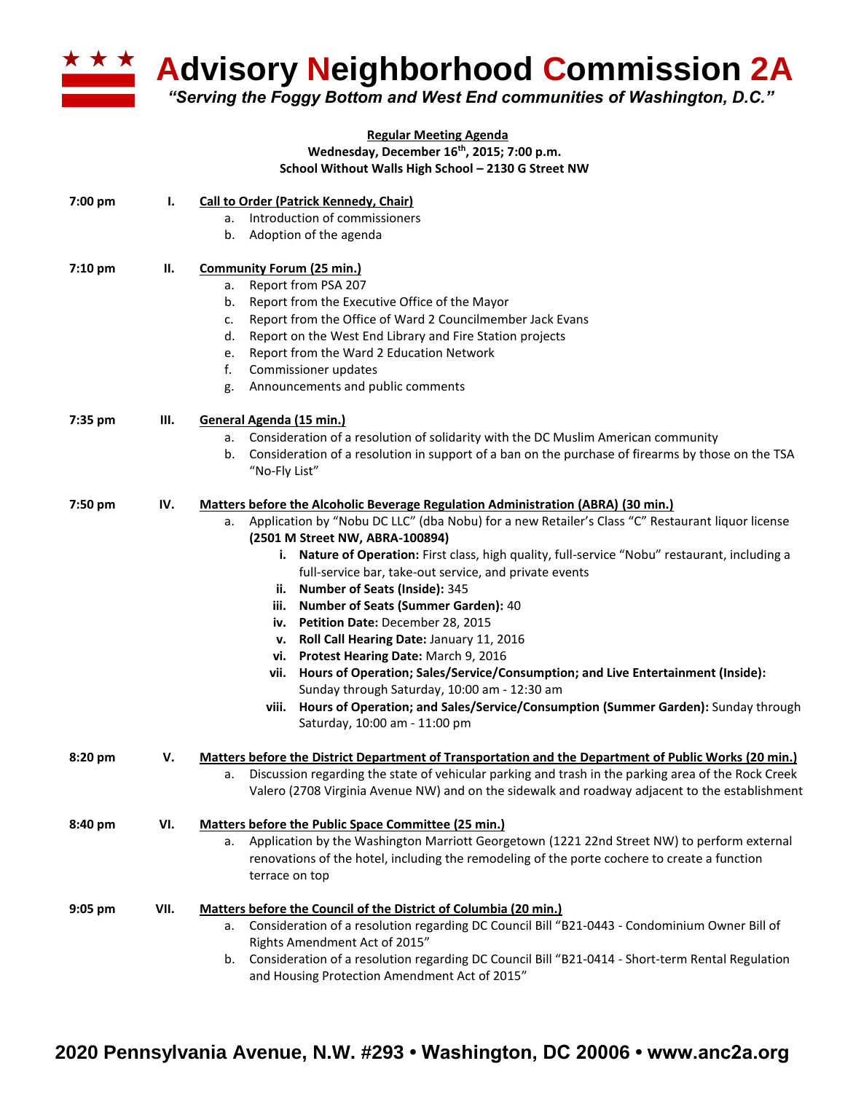

**Advisory Neighborhood Commission 2A** 

*"Serving the Foggy Bottom and West End communities of Washington, D.C."*

**Regular Meeting Agenda**

**Wednesday, December 16th, 2015; 7:00 p.m.**

**School Without Walls High School – 2130 G Street NW**

| 7:00 pm | Ι.   | <b>Call to Order (Patrick Kennedy, Chair)</b>                                                                            |
|---------|------|--------------------------------------------------------------------------------------------------------------------------|
|         |      | a. Introduction of commissioners                                                                                         |
|         |      | Adoption of the agenda<br>b.                                                                                             |
| 7:10 pm | н.   | <b>Community Forum (25 min.)</b>                                                                                         |
|         |      | Report from PSA 207<br>а.                                                                                                |
|         |      | Report from the Executive Office of the Mayor<br>b.                                                                      |
|         |      | Report from the Office of Ward 2 Councilmember Jack Evans<br>c.                                                          |
|         |      | Report on the West End Library and Fire Station projects<br>d.                                                           |
|         |      | Report from the Ward 2 Education Network<br>e.                                                                           |
|         |      | f.<br>Commissioner updates                                                                                               |
|         |      | Announcements and public comments<br>g.                                                                                  |
| 7:35 pm | Ш.   | General Agenda (15 min.)                                                                                                 |
|         |      | Consideration of a resolution of solidarity with the DC Muslim American community<br>а.                                  |
|         |      | Consideration of a resolution in support of a ban on the purchase of firearms by those on the TSA<br>b.<br>"No-Fly List" |
| 7:50 pm | IV.  | <b>Matters before the Alcoholic Beverage Regulation Administration (ABRA) (30 min.)</b>                                  |
|         |      | Application by "Nobu DC LLC" (dba Nobu) for a new Retailer's Class "C" Restaurant liquor license<br>а.                   |
|         |      | (2501 M Street NW, ABRA-100894)                                                                                          |
|         |      | i. Nature of Operation: First class, high quality, full-service "Nobu" restaurant, including a                           |
|         |      | full-service bar, take-out service, and private events                                                                   |
|         |      | ii. Number of Seats (Inside): 345                                                                                        |
|         |      | <b>Number of Seats (Summer Garden): 40</b><br>iii.                                                                       |
|         |      | iv. Petition Date: December 28, 2015                                                                                     |
|         |      | v. Roll Call Hearing Date: January 11, 2016                                                                              |
|         |      | vi. Protest Hearing Date: March 9, 2016                                                                                  |
|         |      | vii. Hours of Operation; Sales/Service/Consumption; and Live Entertainment (Inside):                                     |
|         |      | Sunday through Saturday, 10:00 am - 12:30 am                                                                             |
|         |      | Hours of Operation; and Sales/Service/Consumption (Summer Garden): Sunday through<br>viii.                               |
|         |      | Saturday, 10:00 am - 11:00 pm                                                                                            |
| 8:20 pm | V.   | Matters before the District Department of Transportation and the Department of Public Works (20 min.)                    |
|         |      | Discussion regarding the state of vehicular parking and trash in the parking area of the Rock Creek<br>а.                |
|         |      | Valero (2708 Virginia Avenue NW) and on the sidewalk and roadway adjacent to the establishment                           |
| 8:40 pm | VI.  | Matters before the Public Space Committee (25 min.)                                                                      |
|         |      | Application by the Washington Marriott Georgetown (1221 22nd Street NW) to perform external<br>а.                        |
|         |      | renovations of the hotel, including the remodeling of the porte cochere to create a function                             |
|         |      | terrace on top                                                                                                           |
| 9:05 pm | VII. | Matters before the Council of the District of Columbia (20 min.)                                                         |
|         |      | Consideration of a resolution regarding DC Council Bill "B21-0443 - Condominium Owner Bill of<br>а.                      |
|         |      | Rights Amendment Act of 2015"                                                                                            |
|         |      | Consideration of a resolution regarding DC Council Bill "B21-0414 - Short-term Rental Regulation<br>b.                   |
|         |      | and Housing Protection Amendment Act of 2015"                                                                            |